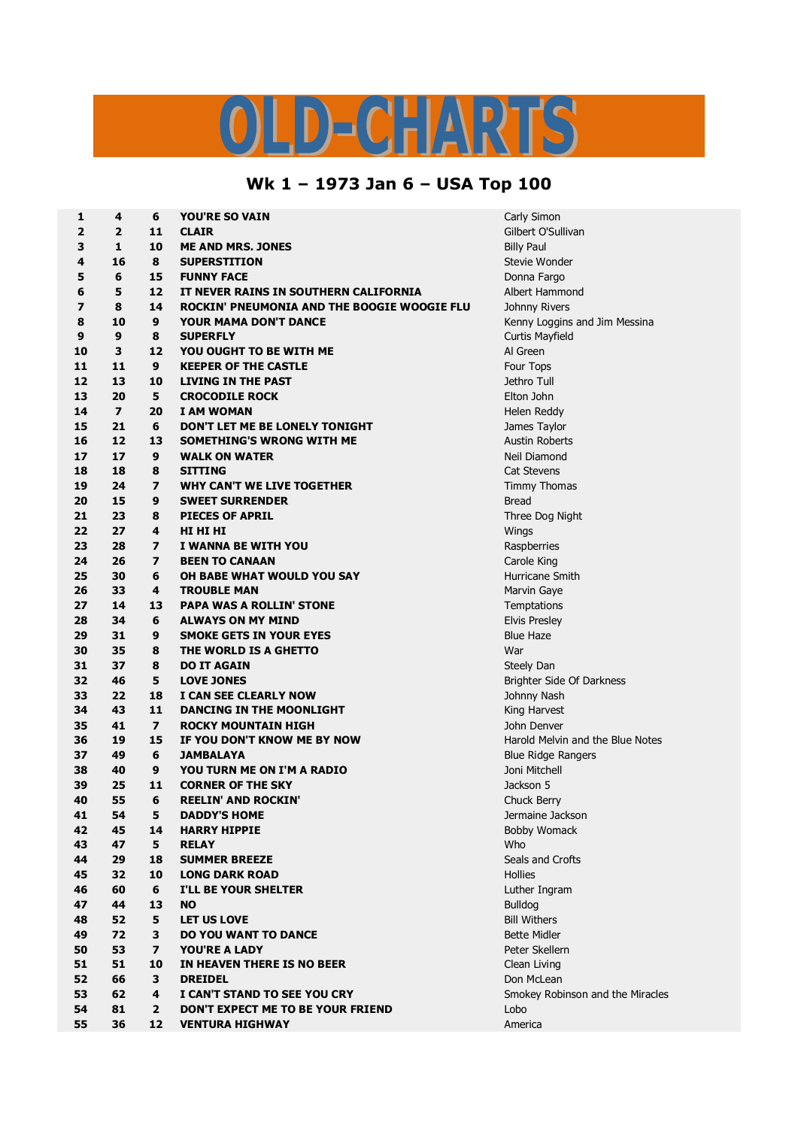## LD-CHARTS

## **Wk 1 – 1973 Jan 6 – USA Top 100**

| 1                       | 4                       | 6              | YOU'RE SO VAIN                              | Carly Simon                      |
|-------------------------|-------------------------|----------------|---------------------------------------------|----------------------------------|
| 2                       | $\overline{2}$          | 11             | <b>CLAIR</b>                                | Gilbert O'Sullivan               |
| 3                       | $\mathbf{1}$            | 10             | <b>ME AND MRS. JONES</b>                    | <b>Billy Paul</b>                |
| 4                       | 16                      | 8              | <b>SUPERSTITION</b>                         | Stevie Wonder                    |
| 5                       | 6                       | 15             | <b>FUNNY FACE</b>                           | Donna Fargo                      |
| 6                       | 5                       | 12             | IT NEVER RAINS IN SOUTHERN CALIFORNIA       | Albert Hammond                   |
| $\overline{\mathbf{z}}$ | 8                       | 14             | ROCKIN' PNEUMONIA AND THE BOOGIE WOOGIE FLU | Johnny Rivers                    |
| 8                       | 10                      | 9              | <b>YOUR MAMA DON'T DANCE</b>                | Kenny Loggins and Jim Messina    |
| 9                       | $\boldsymbol{9}$        | 8              | <b>SUPERFLY</b>                             | Curtis Mayfield                  |
| 10                      | 3                       | 12             | YOU OUGHT TO BE WITH ME                     | Al Green                         |
| 11                      | 11                      | 9              | <b>KEEPER OF THE CASTLE</b>                 | Four Tops                        |
| 12                      | 13                      | 10             | <b>LIVING IN THE PAST</b>                   | Jethro Tull                      |
| 13                      | 20                      | 5              | <b>CROCODILE ROCK</b>                       | Elton John                       |
| 14                      | $\overline{\mathbf{z}}$ | 20             | <b>I AM WOMAN</b>                           | Helen Reddy                      |
| 15                      | 21                      | 6              | DON'T LET ME BE LONELY TONIGHT              | James Taylor                     |
| 16                      | 12                      | 13             | SOMETHING'S WRONG WITH ME                   | <b>Austin Roberts</b>            |
| 17                      | 17                      | 9              | <b>WALK ON WATER</b>                        | Neil Diamond                     |
| 18                      | 18                      | 8              | <b>SITTING</b>                              | Cat Stevens                      |
| 19                      | 24                      | $\overline{ }$ | WHY CAN'T WE LIVE TOGETHER                  | Timmy Thomas                     |
| 20                      | 15                      | 9              | <b>SWEET SURRENDER</b>                      | <b>Bread</b>                     |
| 21                      | 23                      | 8              | <b>PIECES OF APRIL</b>                      | Three Dog Night                  |
| 22                      | 27                      | 4              | HI HI HI                                    | Wings                            |
| 23                      | 28                      | $\overline{ }$ | I WANNA BE WITH YOU                         | Raspberries                      |
| 24                      | 26                      | $\overline{ }$ | <b>BEEN TO CANAAN</b>                       | Carole King                      |
| 25                      | 30                      | 6              |                                             | Hurricane Smith                  |
| 26                      | 33                      | 4              | OH BABE WHAT WOULD YOU SAY                  |                                  |
|                         | 14                      |                | <b>TROUBLE MAN</b>                          | Marvin Gaye                      |
| 27                      |                         | 13             | <b>PAPA WAS A ROLLIN' STONE</b>             | Temptations                      |
| 28                      | 34                      | 6              | <b>ALWAYS ON MY MIND</b>                    | <b>Elvis Presley</b>             |
| 29                      | 31                      | 9              | <b>SMOKE GETS IN YOUR EYES</b>              | <b>Blue Haze</b>                 |
| 30                      | 35                      | 8              | THE WORLD IS A GHETTO                       | War                              |
| 31                      | 37                      | 8              | <b>DO IT AGAIN</b>                          | Steely Dan                       |
| 32                      | 46                      | 5              | <b>LOVE JONES</b>                           | Brighter Side Of Darkness        |
| 33                      | 22                      | 18             | I CAN SEE CLEARLY NOW                       | Johnny Nash                      |
| 34                      | 43                      | 11             | DANCING IN THE MOONLIGHT                    | King Harvest                     |
| 35                      | 41                      | $\overline{ }$ | ROCKY MOUNTAIN HIGH                         | John Denver                      |
| 36                      | 19                      | 15             | IF YOU DON'T KNOW ME BY NOW                 | Harold Melvin and the Blue Notes |
| 37                      | 49                      | 6              | <b>JAMBALAYA</b>                            | <b>Blue Ridge Rangers</b>        |
| 38                      | 40                      | 9              | YOU TURN ME ON I'M A RADIO                  | Joni Mitchell                    |
| 39                      | 25                      | 11             | <b>CORNER OF THE SKY</b>                    | Jackson 5                        |
| 40                      | 55                      | 6              | <b>REELIN' AND ROCKIN'</b>                  | Chuck Berry                      |
| 41                      | 54                      | 5              | <b>DADDY'S HOME</b>                         | Jermaine Jackson                 |
| 42                      | 45                      | 14             | <b>HARRY HIPPIE</b>                         | <b>Bobby Womack</b>              |
| 43                      | 47                      | 5              | <b>RELAY</b>                                | Who                              |
| 44                      | 29                      | 18             | <b>SUMMER BREEZE</b>                        | Seals and Crofts                 |
| 45                      | 32                      | 10             | <b>LONG DARK ROAD</b>                       | Hollies                          |
| 46                      | 60                      | 6              | I'LL BE YOUR SHELTER                        | Luther Ingram                    |
| 47                      | 44                      | 13             | <b>NO</b>                                   | <b>Bulldog</b>                   |
| 48                      | 52                      | 5              | <b>LET US LOVE</b>                          | <b>Bill Withers</b>              |
| 49                      | 72                      | 3              | <b>DO YOU WANT TO DANCE</b>                 | <b>Bette Midler</b>              |
| 50                      | 53                      | $\overline{ }$ | YOU'RE A LADY                               | Peter Skellern                   |
| 51                      | 51                      | 10             | IN HEAVEN THERE IS NO BEER                  | Clean Living                     |
| 52                      | 66                      | 3              | <b>DREIDEL</b>                              | Don McLean                       |
| 53                      | 62                      | 4              | I CAN'T STAND TO SEE YOU CRY                | Smokey Robinson and the Miracles |
| 54                      | 81                      | $\mathbf{2}$   | DON'T EXPECT ME TO BE YOUR FRIEND           | Lobo                             |
| 55                      | 36                      | 12             | <b>VENTURA HIGHWAY</b>                      | America                          |
|                         |                         |                |                                             |                                  |